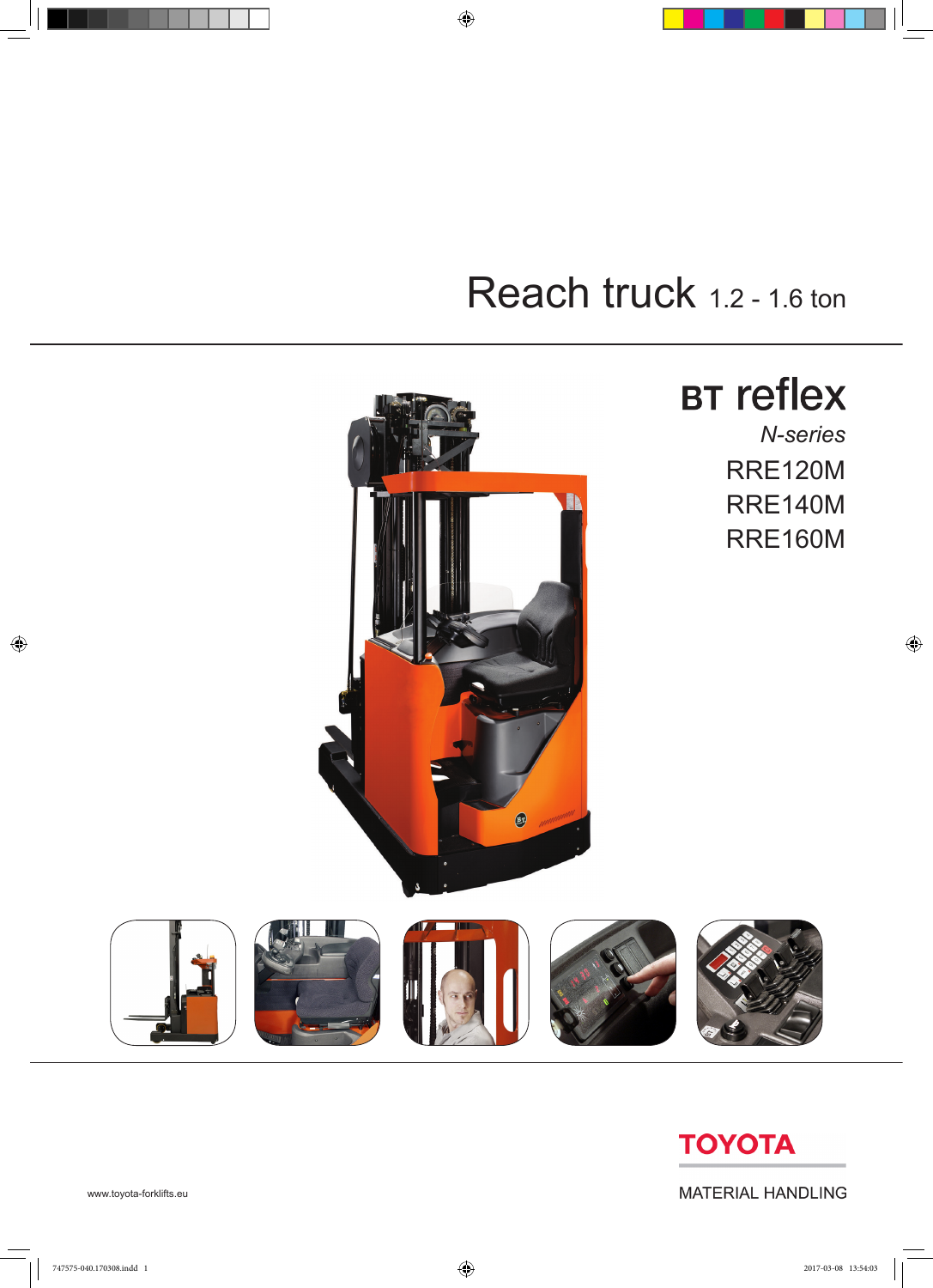

 $\bigoplus$ 

## Reach truck 1.2 - 1.6 ton

**TOYOTA** 

**MATERIAL HANDLING** 

www.toyota-forklifts.eu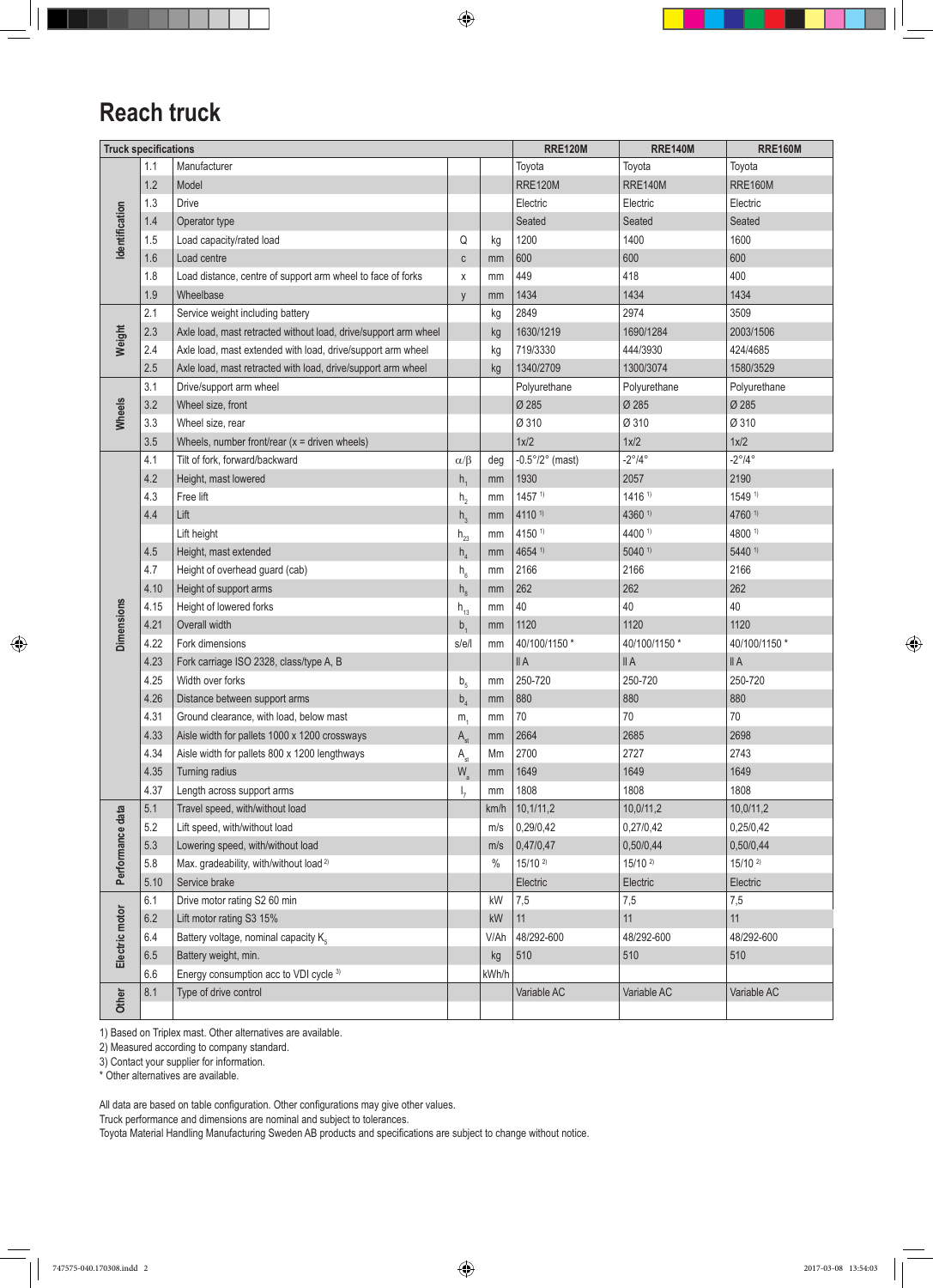$\bigoplus$ 

## **Reach truck**

| <b>Truck specifications</b> |      |                                                                 |                            |       | <b>RRE120M</b>                  | <b>RRE140M</b>         | <b>RRE160M</b>         |
|-----------------------------|------|-----------------------------------------------------------------|----------------------------|-------|---------------------------------|------------------------|------------------------|
|                             | 1.1  | Manufacturer                                                    |                            |       | Toyota                          | Toyota                 | Toyota                 |
|                             | 1.2  | Model                                                           |                            |       | <b>RRE120M</b>                  | <b>RRE140M</b>         | <b>RRE160M</b>         |
|                             | 1.3  | <b>Drive</b>                                                    |                            |       | Electric                        | Electric               | Electric               |
|                             | 1.4  | Operator type                                                   |                            |       | Seated                          | Seated                 | Seated                 |
| Identification              | 1.5  | Load capacity/rated load                                        | Q                          | kg    | 1200                            | 1400                   | 1600                   |
|                             | 1.6  | Load centre                                                     | $\mathbb{C}$               | mm    | 600                             | 600                    | 600                    |
|                             | 1.8  | Load distance, centre of support arm wheel to face of forks     | X                          | mm    | 449                             | 418                    | 400                    |
|                             | 1.9  | Wheelbase                                                       | y                          | mm    | 1434                            | 1434                   | 1434                   |
|                             | 2.1  | Service weight including battery                                |                            | kg    | 2849                            | 2974                   | 3509                   |
| Weight                      | 2.3  | Axle load, mast retracted without load, drive/support arm wheel |                            | kg    | 1630/1219                       | 1690/1284              | 2003/1506              |
|                             | 2.4  | Axle load, mast extended with load, drive/support arm wheel     |                            | kg    | 719/3330                        | 444/3930               | 424/4685               |
|                             | 2.5  | Axle load, mast retracted with load, drive/support arm wheel    |                            | kg    | 1340/2709                       | 1300/3074              | 1580/3529              |
|                             | 3.1  | Drive/support arm wheel                                         |                            |       | Polyurethane                    | Polyurethane           | Polyurethane           |
| Wheels                      | 3.2  | Wheel size, front                                               |                            |       | Ø 285                           | Ø 285                  | Ø 285                  |
|                             | 3.3  | Wheel size, rear                                                |                            |       | Ø 310                           | Ø 310                  | Ø 310                  |
|                             | 3.5  | Wheels, number front/rear $(x =$ driven wheels)                 |                            |       | 1x/2                            | 1x/2                   | 1x/2                   |
|                             | 4.1  | Tilt of fork, forward/backward                                  | $\alpha/\beta$             | deg   | $-0.5^{\circ}/2^{\circ}$ (mast) | $-2^{\circ}/4^{\circ}$ | $-2^{\circ}/4^{\circ}$ |
|                             | 4.2  | Height, mast lowered                                            | $h_{1}$                    | mm    | 1930                            | 2057                   | 2190                   |
|                             | 4.3  | Free lift                                                       | h <sub>2</sub>             | mm    | $1457$ <sup>1)</sup>            | 1416 <sup>1</sup>      | 1549 1)                |
|                             | 4.4  | Lift                                                            | h <sub>3</sub>             | mm    | 4110 1)                         | 4360 1)                | 4760 1)                |
|                             |      | Lift height                                                     | $h_{23}$                   | mm    | 4150 1)                         | 4400 1)                | 4800 1)                |
|                             | 4.5  | Height, mast extended                                           | h <sub>4</sub>             | mm    | 4654 1)                         | $5040$ <sup>1)</sup>   | 5440 1)                |
|                             | 4.7  | Height of overhead guard (cab)                                  | $\mathsf{h}_{_{6}}$        | mm    | 2166                            | 2166                   | 2166                   |
|                             | 4.10 | Height of support arms                                          | $h_{8}$                    | mm    | 262                             | 262                    | 262                    |
|                             | 4.15 | Height of lowered forks                                         | $h_{13}$                   | mm    | 40                              | 40                     | 40                     |
| <b>Dimensions</b>           | 4.21 | Overall width                                                   | $b_{1}$                    | mm    | 1120                            | 1120                   | 1120                   |
|                             | 4.22 | Fork dimensions                                                 | s/e/l                      | mm    | 40/100/1150 *                   | 40/100/1150 *          | 40/100/1150 *          |
|                             | 4.23 | Fork carriage ISO 2328, class/type A, B                         |                            |       | II A                            | II A                   | II A                   |
|                             | 4.25 | Width over forks                                                | b <sub>5</sub>             | mm    | 250-720                         | 250-720                | 250-720                |
|                             | 4.26 | Distance between support arms                                   | $b_{\scriptscriptstyle A}$ | mm    | 880                             | 880                    | 880                    |
|                             | 4.31 | Ground clearance, with load, below mast                         | m <sub>1</sub>             | mm    | 70                              | 70                     | 70                     |
|                             | 4.33 | Aisle width for pallets 1000 x 1200 crossways                   | A <sub>st</sub>            | mm    | 2664                            | 2685                   | 2698                   |
|                             | 4.34 | Aisle width for pallets 800 x 1200 lengthways                   | A <sub>st</sub>            | Mm    | 2700                            | 2727                   | 2743                   |
|                             | 4.35 | Turning radius                                                  | $W_a$                      | mm    | 1649                            | 1649                   | 1649                   |
|                             | 4.37 | Length across support arms                                      | $I_{7}$                    | mm    | 1808                            | 1808                   | 1808                   |
|                             | 5.1  | Travel speed, with/without load                                 |                            | km/h  | 10, 1/11, 2                     | 10,0/11,2              | 10,0/11,2              |
|                             | 5.2  | Lift speed, with/without load                                   |                            | m/s   | 0,29/0,42                       | 0,27/0,42              | 0,25/0,42              |
|                             | 5.3  | Lowering speed, with/without load                               |                            | m/s   | 0,47/0,47                       | 0,50/0,44              | 0,50/0,44              |
| Performance data            | 5.8  | Max. gradeability, with/without load <sup>2)</sup>              |                            | $\%$  | $15/10^{2}$                     | $15/10^{2}$            | $15/10^{2}$            |
|                             | 5.10 | Service brake                                                   |                            |       | Electric                        | Electric               | Electric               |
|                             | 6.1  | Drive motor rating S2 60 min                                    |                            | kW    | 7,5                             | 7,5                    | 7,5                    |
|                             | 6.2  | Lift motor rating S3 15%                                        |                            | kW    | 11                              | 11                     | 11                     |
| Electric motor              | 6.4  | Battery voltage, nominal capacity K.                            |                            | V/Ah  | 48/292-600                      | 48/292-600             | 48/292-600             |
|                             | 6.5  | Battery weight, min.                                            |                            | kg    | 510                             | 510                    | 510                    |
|                             | 6.6  | Energy consumption acc to VDI cycle 3)                          |                            | kWh/h |                                 |                        |                        |
| Other                       | 8.1  | Type of drive control                                           |                            |       | Variable AC                     | Variable AC            | Variable AC            |
|                             |      |                                                                 |                            |       |                                 |                        |                        |

1) Based on Triplex mast. Other alternatives are available.

2) Measured according to company standard.

3) Contact your supplier for information.

\* Other alternatives are available.

All data are based on table configuration. Other configurations may give other values.

Truck performance and dimensions are nominal and subject to tolerances.

Toyota Material Handling Manufacturing Sweden AB products and specifications are subject to change without notice.

 $\bigoplus$ 

 $\bigoplus$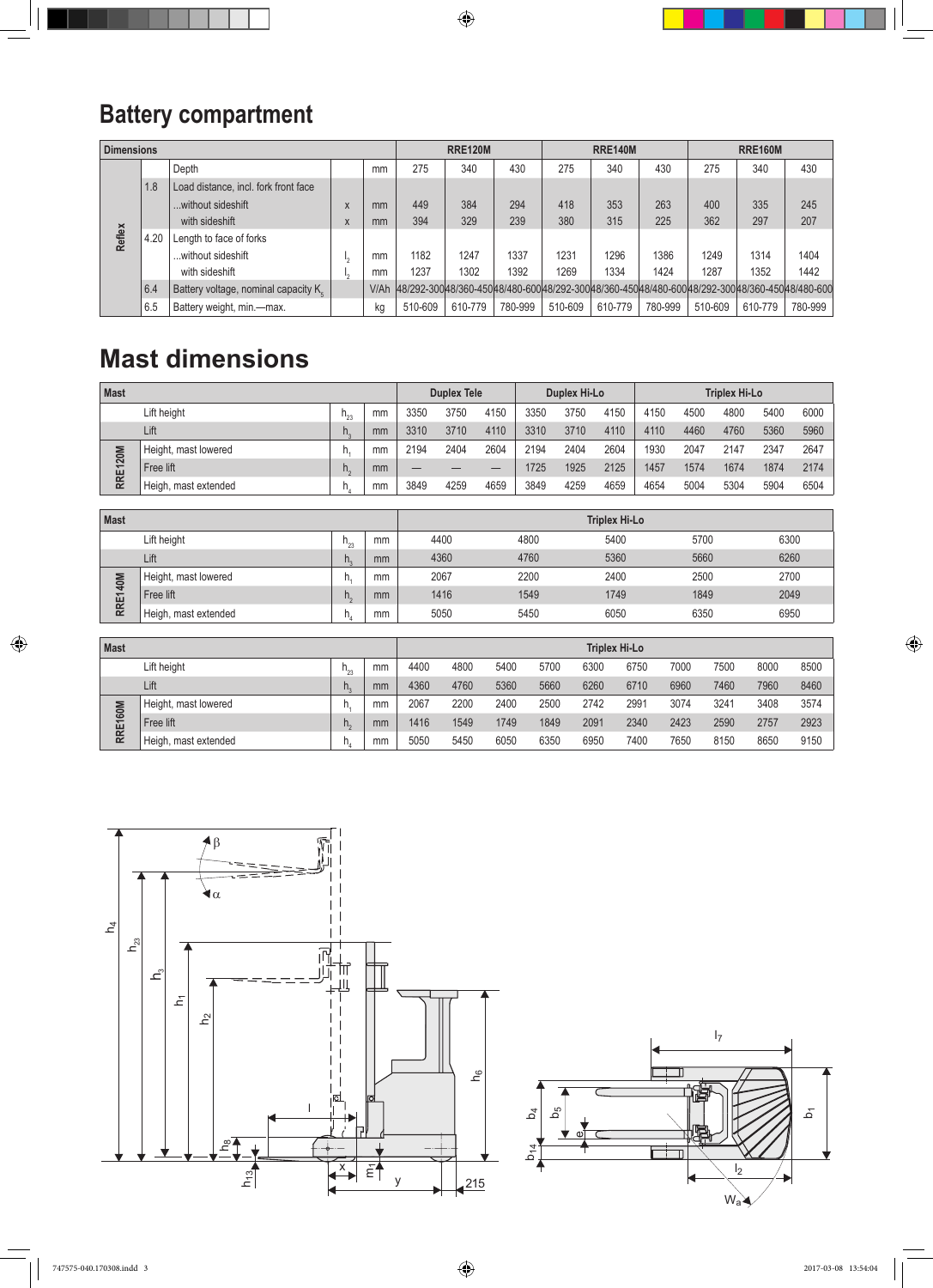$\bigoplus$ 

## **Battery compartment**

| <b>Dimensions</b> |      |                                                  |   |      |         | <b>RRE120M</b> |         |         | <b>RRE140M</b> |         | <b>RRE160M</b>                                                                                     |         |         |
|-------------------|------|--------------------------------------------------|---|------|---------|----------------|---------|---------|----------------|---------|----------------------------------------------------------------------------------------------------|---------|---------|
|                   |      | Depth                                            |   | mm   | 275     | 340            | 430     | 275     | 340            | 430     | 275                                                                                                | 340     | 430     |
|                   | 1.8  | Load distance, incl. fork front face             |   |      |         |                |         |         |                |         |                                                                                                    |         |         |
|                   |      | without sideshift                                | X | mm   | 449     | 384            | 294     | 418     | 353            | 263     | 400                                                                                                | 335     | 245     |
| Reflex            |      | with sideshift                                   | X | mm   | 394     | 329            | 239     | 380     | 315            | 225     | 362                                                                                                | 297     | 207     |
|                   | 4.20 | Length to face of forks                          |   |      |         |                |         |         |                |         |                                                                                                    |         |         |
|                   |      | without sideshift                                |   | mm   | 1182    | 1247           | 1337    | 1231    | 1296           | 1386    | 1249                                                                                               | 1314    | 1404    |
|                   |      | with sideshift                                   |   | mm   | 1237    | 1302           | 1392    | 1269    | 1334           | 1424    | 1287                                                                                               | 1352    | 1442    |
|                   | 6.4  | Battery voltage, nominal capacity K <sub>c</sub> |   | V/Ah |         |                |         |         |                |         | 48/292-300 48/360-450 48/360-450 48/360-450 48/360-450 48/360-600 48/360-450 48/360-450 48/360-600 |         |         |
|                   | 6.5  | Battery weight, min.-max.                        |   | kg   | 510-609 | 610-779        | 780-999 | 510-609 | 610-779        | 780-999 | 510-609                                                                                            | 610-779 | 780-999 |

## **Mast dimensions**

| <b>Mast</b> |                      |                              |    | <b>Duplex Tele</b> |      |      | Duplex Hi-Lo |      |      | <b>Triplex Hi-Lo</b> |      |      |      |      |
|-------------|----------------------|------------------------------|----|--------------------|------|------|--------------|------|------|----------------------|------|------|------|------|
|             | Lift height          | $n_{\scriptscriptstyle{nn}}$ | mm | 3350               | 3750 | 4150 | 3350         | 3750 | 4150 | 4150                 | 4500 | 4800 | 5400 | 6000 |
| Lift        |                      | n.                           | mm | 3310               | 3710 | 4110 | 3310         | 3710 | 4110 | 4110                 | 4460 | 4760 | 5360 | 5960 |
| RRE120M     | Height, mast lowered |                              | mm | 2194               | 2404 | 2604 | 2194         | 2404 | 2604 | 1930                 | 2047 | 2147 | 2347 | 2647 |
|             | Free lift            | n.                           | mm |                    | __   | –    | 1725         | 1925 | 2125 | 1457                 | 1574 | 1674 | 1874 | 2174 |
|             | Heigh, mast extended |                              | mm | 3849               | 4259 | 4659 | 3849         | 4259 | 4659 | 4654                 | 5004 | 5304 | 5904 | 6504 |

| Mast                       |                      |    | <b>Triplex Hi-Lo</b> |      |      |      |      |      |  |  |  |
|----------------------------|----------------------|----|----------------------|------|------|------|------|------|--|--|--|
| Lift height<br>mm<br>ممللا |                      |    |                      | 4400 | 4800 | 5400 | 5700 | 6300 |  |  |  |
|                            | Lift                 | H. | mm                   | 4360 | 4760 | 5360 | 5660 | 6260 |  |  |  |
| E140M<br><b>RR</b>         | Height, mast lowered |    | mm                   | 2067 | 2200 | 2400 | 2500 | 2700 |  |  |  |
|                            | Free lift            |    | mm                   | 1416 | 1549 | 1749 | 1849 | 2049 |  |  |  |
|                            | Heigh, mast extended |    | mm                   | 5050 | 5450 | 6050 | 6350 | 6950 |  |  |  |

| <b>Mast</b>           |                      |     |    | <b>Triplex Hi-Lo</b> |      |      |      |      |      |      |      |      |      |  |  |
|-----------------------|----------------------|-----|----|----------------------|------|------|------|------|------|------|------|------|------|--|--|
|                       | Lift height          | h., | mm | 4400                 | 4800 | 5400 | 5700 | 6300 | 6750 | 7000 | 7500 | 8000 | 8500 |  |  |
|                       | Lift                 | n.  | mm | 4360                 | 4760 | 5360 | 5660 | 6260 | 6710 | 6960 | 7460 | 7960 | 8460 |  |  |
| 60M<br>冚<br><b>RN</b> | Height, mast lowered |     | mm | 2067                 | 2200 | 2400 | 2500 | 2742 | 2991 | 3074 | 3241 | 3408 | 3574 |  |  |
|                       | Free lift            |     | mm | 1416                 | 1549 | 1749 | 1849 | 2091 | 2340 | 2423 | 2590 | 2757 | 2923 |  |  |
|                       | Heigh, mast extended |     | mm | 5050                 | 5450 | 6050 | 6350 | 6950 | 7400 | 7650 | 8150 | 8650 | 9150 |  |  |





 $\bigoplus$ 

 $\bigoplus$